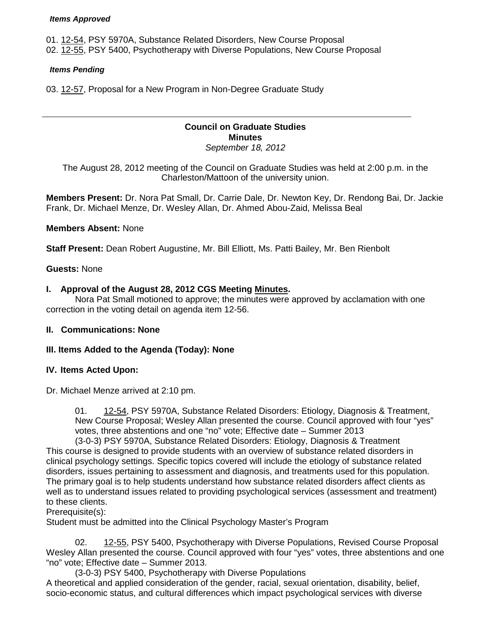#### *Items Approved*

01. [12-54,](http://castle.eiu.edu/~eiucgs/currentagendaitems/agenda12-54.pdf) PSY 5970A, Substance Related Disorders, New Course Proposal 02. [12-55,](http://castle.eiu.edu/~eiucgs/currentagendaitems/agenda12-55.pdf) PSY 5400, Psychotherapy with Diverse Populations, New Course Proposal

#### *Items Pending*

03. [12-57,](http://castle.eiu.edu/~eiucgs/currentagendaitems/agenda12-57.pdf) Proposal for a New Program in Non-Degree Graduate Study

#### **Council on Graduate Studies Minutes** *September 18, 2012*

The August 28, 2012 meeting of the Council on Graduate Studies was held at 2:00 p.m. in the Charleston/Mattoon of the university union.

**Members Present:** Dr. Nora Pat Small, Dr. Carrie Dale, Dr. Newton Key, Dr. Rendong Bai, Dr. Jackie Frank, Dr. Michael Menze, Dr. Wesley Allan, Dr. Ahmed Abou-Zaid, Melissa Beal

## **Members Absent:** None

**Staff Present:** Dean Robert Augustine, Mr. Bill Elliott, Ms. Patti Bailey, Mr. Ben Rienbolt

## **Guests:** None

#### **I. Approval of the August 28, 2012 CGS Meeting [Minutes.](http://castle.eiu.edu/eiucgs/currentminutes/Minutes4-24-12.pdf)**

Nora Pat Small motioned to approve; the minutes were approved by acclamation with one correction in the voting detail on agenda item 12-56.

#### **II. Communications: None**

## **III. Items Added to the Agenda (Today): None**

#### **IV. Items Acted Upon:**

Dr. Michael Menze arrived at 2:10 pm.

01. [12-54,](http://castle.eiu.edu/~eiucgs/currentagendaitems/agenda12-54.pdf) PSY 5970A, Substance Related Disorders: Etiology, Diagnosis & Treatment, New Course Proposal; Wesley Allan presented the course. Council approved with four "yes" votes, three abstentions and one "no" vote; Effective date – Summer 2013

(3-0-3) PSY 5970A, Substance Related Disorders: Etiology, Diagnosis & Treatment This course is designed to provide students with an overview of substance related disorders in clinical psychology settings. Specific topics covered will include the etiology of substance related disorders, issues pertaining to assessment and diagnosis, and treatments used for this population. The primary goal is to help students understand how substance related disorders affect clients as well as to understand issues related to providing psychological services (assessment and treatment) to these clients.

Prerequisite(s):

Student must be admitted into the Clinical Psychology Master's Program

02. [12-55,](http://castle.eiu.edu/~eiucgs/currentagendaitems/agenda12-55.pdf) PSY 5400, Psychotherapy with Diverse Populations, Revised Course Proposal Wesley Allan presented the course. Council approved with four "yes" votes, three abstentions and one "no" vote; Effective date – Summer 2013.

(3-0-3) PSY 5400, Psychotherapy with Diverse Populations A theoretical and applied consideration of the gender, racial, sexual orientation, disability, belief, socio-economic status, and cultural differences which impact psychological services with diverse